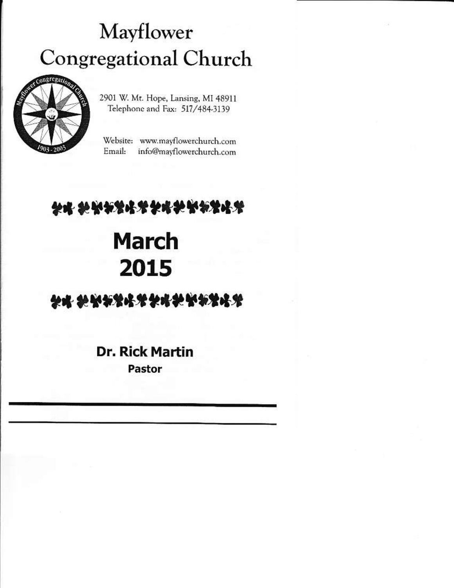# Mayflower **Congregational Church**



2901 W. Mt. Hope, Lansing, MI 48911 Telephone and Fax: 517/484-3139

Website: www.mavflowerchurch.com Email: info@mayflowerchurch.com

## 科略 领头的男子的名词复数的男子名

# **March** 2015

## \*\*\*\*\*\*\*\*\*\*\*\*\*\*\*\*

### **Dr. Rick Martin** Pastor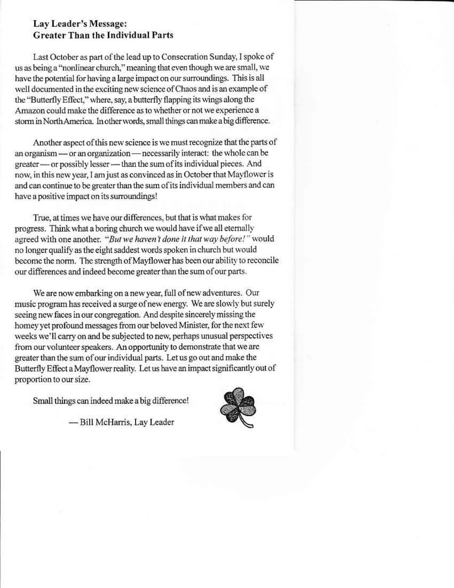#### Lay Leader's Message: **Greater Than the Individual Parts**

Last October as part of the lead up to Consecration Sunday, I spoke of us as being a "nonlinear church," meaning that even though we are small, we have the potential for having a large impact on our surroundings. This is all well documented in the exciting new science of Chaos and is an example of the "Butterfly Effect," where, say, a butterfly flapping its wings along the Amazon could make the difference as to whether or not we experience a storm in North America. In other words, small things can make a big difference.

Another aspect of this new science is we must recognize that the parts of an organism — or an organization — necessarily interact: the whole can be greater — or possibly lesser — than the sum of its individual pieces. And now, in this new year, I am just as convinced as in October that Mayflower is and can continue to be greater than the sum of its individual members and can have a positive impact on its surroundings!

True, at times we have our differences, but that is what makes for progress. Think what a boring church we would have if we all eternally agreed with one another. "But we haven't done it that way before!" would no longer qualify as the eight saddest words spoken in church but would become the norm. The strength of Mayflower has been our ability to reconcile our differences and indeed become greater than the sum of our parts.

We are now embarking on a new year, full of new adventures. Our music program has received a surge of new energy. We are slowly but surely seeing new faces in our congregation. And despite sincerely missing the homey yet profound messages from our beloved Minister, for the next few weeks we'll carry on and be subjected to new, perhaps unusual perspectives from our volunteer speakers. An opportunity to demonstrate that we are greater than the sum of our individual parts. Let us go out and make the Butterfly Effect a Mayflower reality. Let us have an impact significantly out of proportion to our size.

Small things can indeed make a big difference!



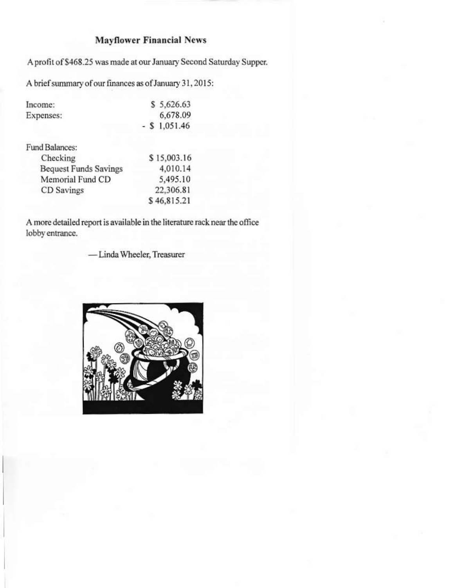#### **Mayflower Financial News**

A profit of \$468.25 was made at our January Second Saturday Supper.

A brief summary of our finances as of January 31, 2015:

| Income:   | \$5,626.63      |
|-----------|-----------------|
| Expenses: | 6,678.09        |
|           | $-$ \$ 1,051.46 |

Fund Balances:

| Checking                     | \$15,003.16 |
|------------------------------|-------------|
| <b>Bequest Funds Savings</b> | 4,010.14    |
| Memorial Fund CD             | 5,495.10    |
| CD Savings                   | 22,306.81   |
|                              | \$46,815.21 |

A more detailed report is available in the literature rack near the office lobby entrance.

-Linda Wheeler, Treasurer

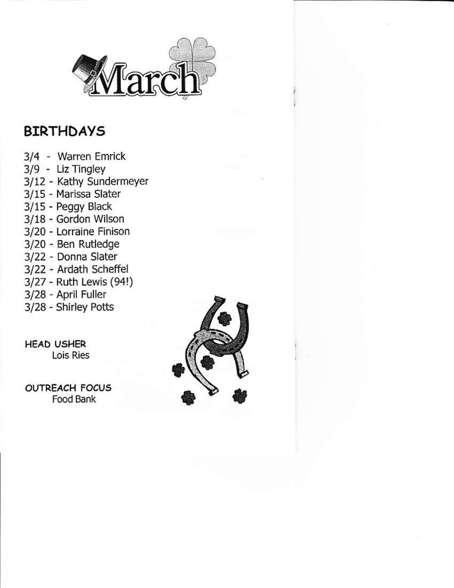

### BIRTHDAYS

- 3/4 . Warren Emrick
- 3/9 Liz Tingley
- 3/12 Kathy Sundermeyer
- 3/15 Marissa Slater
- 3115 Peggy Black
- 3/18 cordon wilson
- 3/20 Lorraine Finison
- 3/20 Ben Rutledge
- 3/22 Donna Slater
- 3/22 Ardath Scheffel
- 3/27 Ruth Lewis (94!)
- 3/28 April Fuller
- 3/28 Shirley Potts

HEAD U5HER Lois Ries

**OUTREACH FOCUS**<br>Food Bank

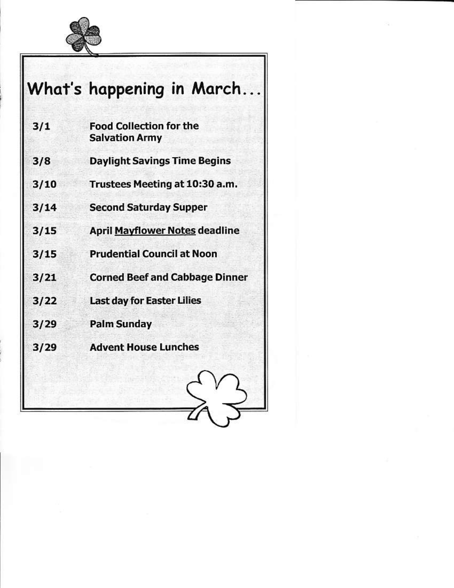

|      | What's happening in March                               |
|------|---------------------------------------------------------|
| 3/1  | <b>Food Collection for the</b><br><b>Salvation Army</b> |
| 3/8  | <b>Daylight Savings Time Begins</b>                     |
| 3/10 | Trustees Meeting at 10:30 a.m.                          |
| 3/14 | <b>Second Saturday Supper</b>                           |
| 3/15 | <b>April Mayflower Notes deadline</b>                   |
| 3/15 | <b>Prudential Council at Noon</b>                       |
| 3/21 | <b>Corned Beef and Cabbage Dinner</b>                   |
| 3/22 | <b>Last day for Easter Lilies</b>                       |
| 3/29 | <b>Palm Sunday</b>                                      |
| 3/29 | <b>Advent House Lunches</b>                             |
|      |                                                         |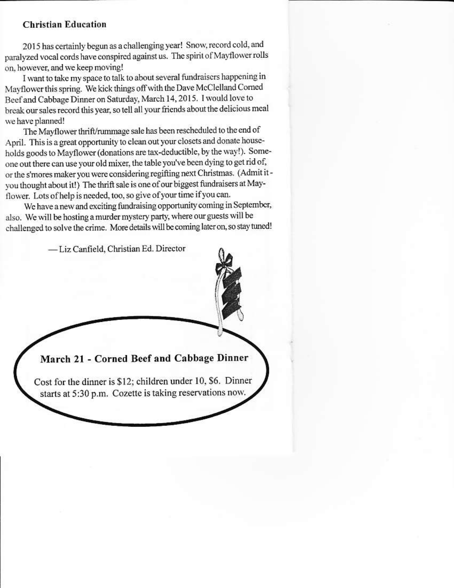#### **Christian Education**

2015 has certainly begun as a challenging year! Snow, record cold, and paralyzed vocal cords have conspired against us. The spirit of Mayflower rolls on, however, and we keep moving!

I want to take my space to talk to about several fundraisers happening in Mayflower this spring. We kick things off with the Dave McClelland Corned Beef and Cabbage Dinner on Saturday, March 14, 2015. I would love to break our sales record this year, so tell all your friends about the delicious meal we have planned!

The Mayflower thrift/rummage sale has been rescheduled to the end of April. This is a great opportunity to clean out your closets and donate households goods to Mayflower (donations are tax-deductible, by the way!). Someone out there can use your old mixer, the table you've been dying to get rid of, or the s'mores maker you were considering regifting next Christmas. (Admit it you thought about it!) The thrift sale is one of our biggest fundraisers at Mayflower. Lots of help is needed, too, so give of your time if you can.

We have a new and exciting fundraising opportunity coming in September, also. We will be hosting a murder mystery party, where our guests will be challenged to solve the crime. More details will be coming later on, so stay tuned!

-Liz Canfield, Christian Ed. Director

March 21 - Corned Beef and Cabbage Dinner

Cost for the dinner is \$12; children under 10, \$6. Dinner starts at 5:30 p.m. Cozette is taking reservations now.